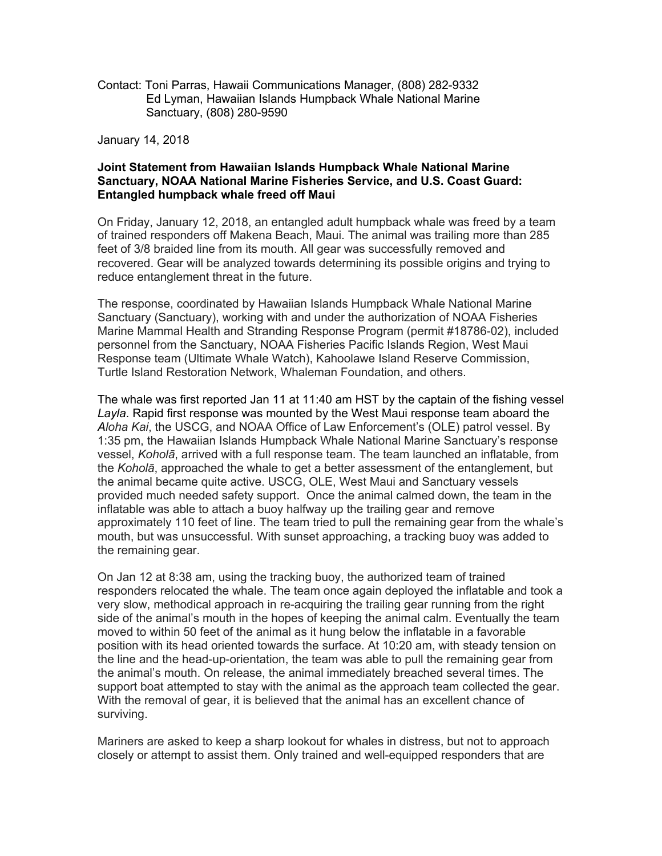Contact: Toni Parras, Hawaii Communications Manager, (808) 282-9332 Sanctuary, (808) 280-9590 January 14, 2018 Ed Lyman, Hawaiian Islands Humpback Whale National Marine

## **Joint Statement from Hawaiian Islands Humpback Whale National Marine Sanctuary, NOAA National Marine Fisheries Service, and U.S. Coast Guard: Entangled humpback whale freed off Maui**

 of trained responders off Makena Beach, Maui. The animal was trailing more than 285 feet of 3/8 braided line from its mouth. All gear was successfully removed and recovered. Gear will be analyzed towards determining its possible origins and trying to On Friday, January 12, 2018, an entangled adult humpback whale was freed by a team reduce entanglement threat in the future.

 The response, coordinated by Hawaiian Islands Humpback Whale National Marine Sanctuary (Sanctuary), working with and under the authorization of NOAA Fisheries personnel from the Sanctuary, NOAA Fisheries Pacific Islands Region, West Maui Response team (Ultimate Whale Watch), Kahoolawe Island Reserve Commission, Turtle Island Restoration Network, Whaleman Foundation, and others. Marine Mammal Health and Stranding Response Program (permit #18786-02), included

 The whale was first reported Jan 11 at 11:40 am HST by the captain of the fishing vessel *Layla*. Rapid first response was mounted by the West Maui response team aboard the vessel, *Koholā*, arrived with a full response team. The team launched an inflatable, from the animal became quite active. USCG, OLE, West Maui and Sanctuary vessels provided much needed safety support. Once the animal calmed down, the team in the inflatable was able to attach a buoy halfway up the trailing gear and remove approximately 110 feet of line. The team tried to pull the remaining gear from the whale's mouth, but was unsuccessful. With sunset approaching, a tracking buoy was added to *Aloha Kai*, the USCG, and NOAA Office of Law Enforcement's (OLE) patrol vessel. By 1:35 pm, the Hawaiian Islands Humpback Whale National Marine Sanctuary's response the *Koholā*, approached the whale to get a better assessment of the entanglement, but the remaining gear.

 On Jan 12 at 8:38 am, using the tracking buoy, the authorized team of trained very slow, methodical approach in re-acquiring the trailing gear running from the right side of the animal's mouth in the hopes of keeping the animal calm. Eventually the team moved to within 50 feet of the animal as it hung below the inflatable in a favorable position with its head oriented towards the surface. At 10:20 am, with steady tension on the line and the head-up-orientation, the team was able to pull the remaining gear from the animal's mouth. On release, the animal immediately breached several times. The support boat attempted to stay with the animal as the approach team collected the gear. With the removal of gear, it is believed that the animal has an excellent chance of responders relocated the whale. The team once again deployed the inflatable and took a surviving.

 Mariners are asked to keep a sharp lookout for whales in distress, but not to approach closely or attempt to assist them. Only trained and well-equipped responders that are